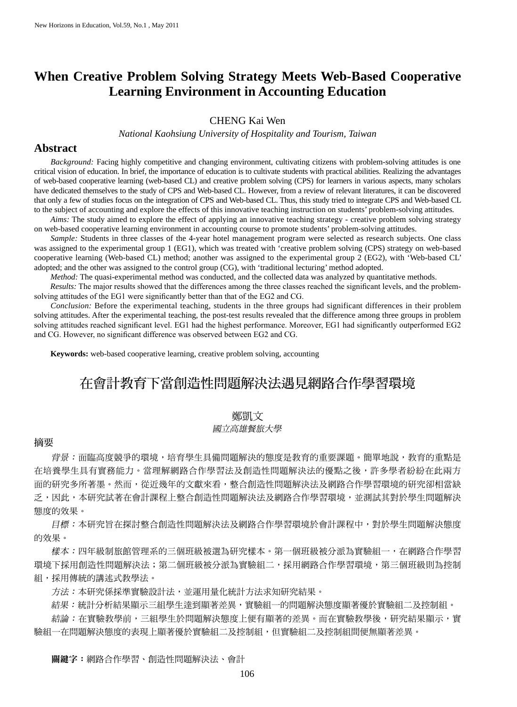# **When Creative Problem Solving Strategy Meets Web-Based Cooperative Learning Environment in Accounting Education**

## CHENG Kai Wen

*National Kaohsiung University of Hospitality and Tourism, Taiwan*

## **Abstract**

 *Background:* Facing highly competitive and changing environment, cultivating citizens with problem-solving attitudes is one critical vision of education. In brief, the importance of education is to cultivate students with practical abilities. Realizing the advantages of web-based cooperative learning (web-based CL) and creative problem solving (CPS) for learners in various aspects, many scholars have dedicated themselves to the study of CPS and Web-based CL. However, from a review of relevant literatures, it can be discovered that only a few of studies focus on the integration of CPS and Web-based CL. Thus, this study tried to integrate CPS and Web-based CL to the subject of accounting and explore the effects of this innovative teaching instruction on students' problem-solving attitudes.

 *Aims:* The study aimed to explore the effect of applying an innovative teaching strategy - creative problem solving strategy on web-based cooperative learning environment in accounting course to promote students' problem-solving attitudes.

 *Sample:* Students in three classes of the 4-year hotel management program were selected as research subjects. One class was assigned to the experimental group 1 (EG1), which was treated with 'creative problem solving (CPS) strategy on web-based cooperative learning (Web-based CL) method; another was assigned to the experimental group 2 (EG2), with 'Web-based CL' adopted; and the other was assigned to the control group (CG), with 'traditional lecturing' method adopted.

*Method:* The quasi-experimental method was conducted, and the collected data was analyzed by quantitative methods.

 *Results:* The major results showed that the differences among the three classes reached the significant levels, and the problemsolving attitudes of the EG1 were significantly better than that of the EG2 and CG.

 *Conclusion:* Before the experimental teaching, students in the three groups had significant differences in their problem solving attitudes. After the experimental teaching, the post-test results revealed that the difference among three groups in problem solving attitudes reached significant level. EG1 had the highest performance. Moreover, EG1 had significantly outperformed EG2 and CG. However, no significant difference was observed between EG2 and CG.

**Keywords:** web-based cooperative learning, creative problem solving, accounting

# 在會計教育下當創造性問題解決法遇見網路合作學習環境

## 鄭凱文

## 國立高雄餐旅大學

### 摘要

背景:面臨高度競爭的環境,培育學生具備問題解決的態度是教育的重要課題。簡單地說,教育的重點是 在培養學生具有實務能力。當理解網路合作學習法及創造性問題解決法的優點之後,許多學者紛紛在此兩方 面的研究多所著墨。然而,從近幾年的文獻來看,整合創造性問題解決法及網路合作學習環境的研究卻相當缺 乏,因此,本研究試著在會計課程上整合創造性問題解決法及網路合作學習環境,並測試其對於學生問題解決 態度的效果。

 目標:本研究旨在探討整合創造性問題解決法及網路合作學習環境於會計課程中,對於學生問題解決態度 的效果。

 樣本:四年級制旅館管理系的三個班級被選為研究樣本。第一個班級被分派為實驗組一,在網路合作學習 環境下採用創造性問題解決法;第二個班級被分派為實驗組二,採用網路合作學習環境,第三個班級則為控制 組,採用傳統的講述式教學法。

方法:本研究係採準實驗設計法,並運用量化統計方法求知研究結果。

結果:統計分析結果顯示三組學生達到顯著差異,實驗組一的問題解決態度顯著優於實驗組二及控制組。

結論:在實驗教學前,三組學生於問題解決態度上便有顯著的差異。而在實驗教學後,研究結果顯示,實 驗組一在問題解決態度的表現上顯著優於實驗組二及控制組,但實驗組二及控制組間便無顯著差異。

關鍵字:網路合作學習、創造性問題解決法、會計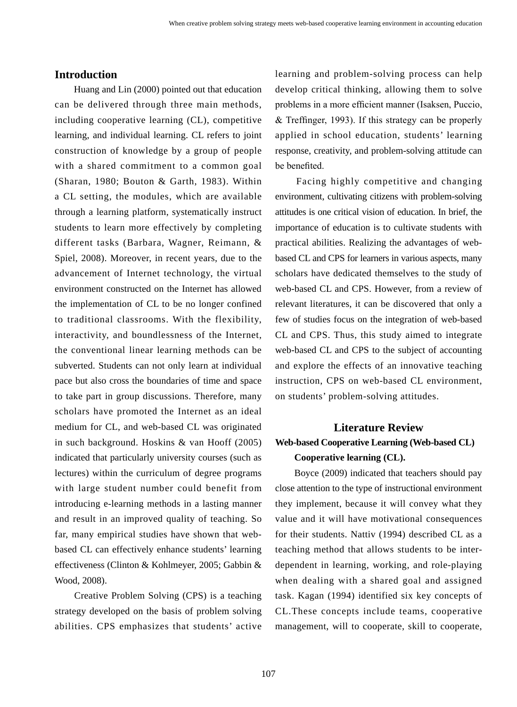## **Introduction**

 Huang and Lin (2000) pointed out that education can be delivered through three main methods, including cooperative learning (CL), competitive learning, and individual learning. CL refers to joint construction of knowledge by a group of people with a shared commitment to a common goal (Sharan, 1980; Bouton & Garth, 1983). Within a CL setting, the modules, which are available through a learning platform, systematically instruct students to learn more effectively by completing different tasks (Barbara, Wagner, Reimann, & Spiel, 2008). Moreover, in recent years, due to the advancement of Internet technology, the virtual environment constructed on the Internet has allowed the implementation of CL to be no longer confined to traditional classrooms. With the flexibility, interactivity, and boundlessness of the Internet, the conventional linear learning methods can be subverted. Students can not only learn at individual pace but also cross the boundaries of time and space to take part in group discussions. Therefore, many scholars have promoted the Internet as an ideal medium for CL, and web-based CL was originated in such background. Hoskins & van Hooff (2005) indicated that particularly university courses (such as lectures) within the curriculum of degree programs with large student number could benefit from introducing e-learning methods in a lasting manner and result in an improved quality of teaching. So far, many empirical studies have shown that webbased CL can effectively enhance students' learning effectiveness (Clinton & Kohlmeyer, 2005; Gabbin & Wood, 2008).

 Creative Problem Solving (CPS) is a teaching strategy developed on the basis of problem solving abilities. CPS emphasizes that students' active

learning and problem-solving process can help develop critical thinking, allowing them to solve problems in a more efficient manner (Isaksen, Puccio, & Treffinger, 1993). If this strategy can be properly applied in school education, students' learning response, creativity, and problem-solving attitude can be benefited.

 Facing highly competitive and changing environment, cultivating citizens with problem-solving attitudes is one critical vision of education. In brief, the importance of education is to cultivate students with practical abilities. Realizing the advantages of webbased CL and CPS for learners in various aspects, many scholars have dedicated themselves to the study of web-based CL and CPS. However, from a review of relevant literatures, it can be discovered that only a few of studies focus on the integration of web-based CL and CPS. Thus, this study aimed to integrate web-based CL and CPS to the subject of accounting and explore the effects of an innovative teaching instruction, CPS on web-based CL environment, on students' problem-solving attitudes.

# **Literature Review Web-based Cooperative Learning (Web-based CL) Cooperative learning (CL).**

 Boyce (2009) indicated that teachers should pay close attention to the type of instructional environment they implement, because it will convey what they value and it will have motivational consequences for their students. Nattiv (1994) described CL as a teaching method that allows students to be interdependent in learning, working, and role-playing when dealing with a shared goal and assigned task. Kagan (1994) identified six key concepts of CL.These concepts include teams, cooperative management, will to cooperate, skill to cooperate,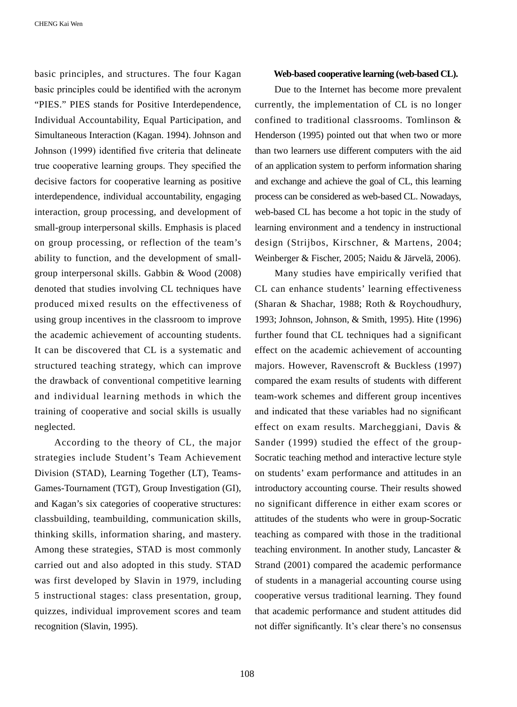basic principles, and structures. The four Kagan basic principles could be identified with the acronym "PIES." PIES stands for Positive Interdependence, Individual Accountability, Equal Participation, and Simultaneous Interaction (Kagan. 1994). Johnson and Johnson (1999) identified five criteria that delineate true cooperative learning groups. They specified the decisive factors for cooperative learning as positive interdependence, individual accountability, engaging interaction, group processing, and development of small-group interpersonal skills. Emphasis is placed on group processing, or reflection of the team's ability to function, and the development of smallgroup interpersonal skills. Gabbin & Wood (2008) denoted that studies involving CL techniques have produced mixed results on the effectiveness of using group incentives in the classroom to improve the academic achievement of accounting students. It can be discovered that CL is a systematic and structured teaching strategy, which can improve the drawback of conventional competitive learning and individual learning methods in which the training of cooperative and social skills is usually neglected.

 According to the theory of CL, the major strategies include Student's Team Achievement Division (STAD), Learning Together (LT), Teams-Games-Tournament (TGT), Group Investigation (GI), and Kagan's six categories of cooperative structures: classbuilding, teambuilding, communication skills, thinking skills, information sharing, and mastery. Among these strategies, STAD is most commonly carried out and also adopted in this study. STAD was first developed by Slavin in 1979, including 5 instructional stages: class presentation, group, quizzes, individual improvement scores and team recognition (Slavin, 1995).

#### **Web-based cooperative learning (web-based CL).**

 Due to the Internet has become more prevalent currently, the implementation of CL is no longer confined to traditional classrooms. Tomlinson & Henderson (1995) pointed out that when two or more than two learners use different computers with the aid of an application system to perform information sharing and exchange and achieve the goal of CL, this learning process can be considered as web-based CL. Nowadays, web-based CL has become a hot topic in the study of learning environment and a tendency in instructional design (Strijbos, Kirschner, & Martens, 2004; Weinberger & Fischer, 2005; Naidu & Järvelä, 2006).

 Many studies have empirically verified that CL can enhance students' learning effectiveness (Sharan & Shachar, 1988; Roth & Roychoudhury, 1993; Johnson, Johnson, & Smith, 1995). Hite (1996) further found that CL techniques had a significant effect on the academic achievement of accounting majors. However, Ravenscroft & Buckless (1997) compared the exam results of students with different team-work schemes and different group incentives and indicated that these variables had no significant effect on exam results. Marcheggiani, Davis & Sander (1999) studied the effect of the group-Socratic teaching method and interactive lecture style on students' exam performance and attitudes in an introductory accounting course. Their results showed no significant difference in either exam scores or attitudes of the students who were in group-Socratic teaching as compared with those in the traditional teaching environment. In another study, Lancaster & Strand (2001) compared the academic performance of students in a managerial accounting course using cooperative versus traditional learning. They found that academic performance and student attitudes did not differ significantly. It's clear there's no consensus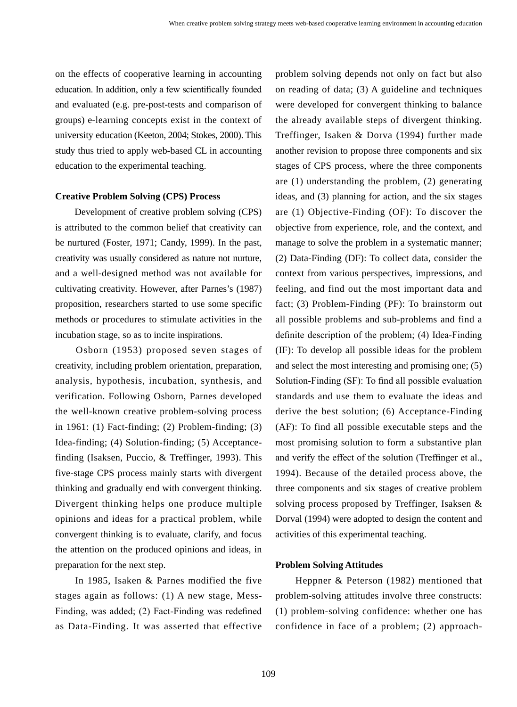on the effects of cooperative learning in accounting education. In addition, only a few scientifically founded and evaluated (e.g. pre-post-tests and comparison of groups) e-learning concepts exist in the context of university education (Keeton, 2004; Stokes, 2000). This study thus tried to apply web-based CL in accounting education to the experimental teaching.

## **Creative Problem Solving (CPS) Process**

 Development of creative problem solving (CPS) is attributed to the common belief that creativity can be nurtured (Foster, 1971; Candy, 1999). In the past, creativity was usually considered as nature not nurture, and a well-designed method was not available for cultivating creativity. However, after Parnes's (1987) proposition, researchers started to use some specific methods or procedures to stimulate activities in the incubation stage, so as to incite inspirations.

 Osborn (1953) proposed seven stages of creativity, including problem orientation, preparation, analysis, hypothesis, incubation, synthesis, and verification. Following Osborn, Parnes developed the well-known creative problem-solving process in 1961: (1) Fact-finding; (2) Problem-finding; (3) Idea-finding; (4) Solution-finding; (5) Acceptancefinding (Isaksen, Puccio, & Treffinger, 1993). This five-stage CPS process mainly starts with divergent thinking and gradually end with convergent thinking. Divergent thinking helps one produce multiple opinions and ideas for a practical problem, while convergent thinking is to evaluate, clarify, and focus the attention on the produced opinions and ideas, in preparation for the next step.

 In 1985, Isaken & Parnes modified the five stages again as follows: (1) A new stage, Mess-Finding, was added; (2) Fact-Finding was redefined as Data-Finding. It was asserted that effective

problem solving depends not only on fact but also on reading of data; (3) A guideline and techniques were developed for convergent thinking to balance the already available steps of divergent thinking. Treffinger, Isaken & Dorva (1994) further made another revision to propose three components and six stages of CPS process, where the three components are (1) understanding the problem, (2) generating ideas, and (3) planning for action, and the six stages are (1) Objective-Finding (OF): To discover the objective from experience, role, and the context, and manage to solve the problem in a systematic manner; (2) Data-Finding (DF): To collect data, consider the context from various perspectives, impressions, and feeling, and find out the most important data and fact; (3) Problem-Finding (PF): To brainstorm out all possible problems and sub-problems and find a definite description of the problem; (4) Idea-Finding (IF): To develop all possible ideas for the problem and select the most interesting and promising one; (5) Solution-Finding (SF): To find all possible evaluation standards and use them to evaluate the ideas and derive the best solution; (6) Acceptance-Finding (AF): To find all possible executable steps and the most promising solution to form a substantive plan and verify the effect of the solution (Treffinger et al., 1994). Because of the detailed process above, the three components and six stages of creative problem solving process proposed by Treffinger, Isaksen & Dorval (1994) were adopted to design the content and activities of this experimental teaching.

#### **Problem Solving Attitudes**

 Heppner & Peterson (1982) mentioned that problem-solving attitudes involve three constructs: (1) problem-solving confidence: whether one has confidence in face of a problem; (2) approach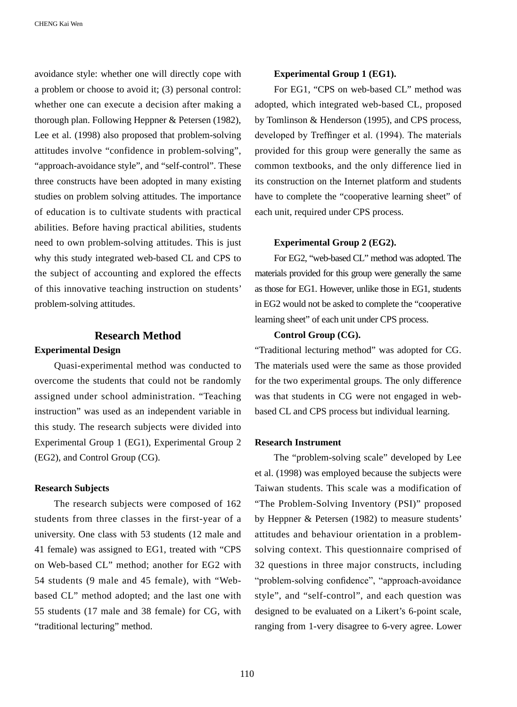avoidance style: whether one will directly cope with a problem or choose to avoid it; (3) personal control: whether one can execute a decision after making a thorough plan. Following Heppner & Petersen (1982), Lee et al. (1998) also proposed that problem-solving attitudes involve "confidence in problem-solving", "approach-avoidance style", and "self-control". These three constructs have been adopted in many existing studies on problem solving attitudes. The importance of education is to cultivate students with practical abilities. Before having practical abilities, students need to own problem-solving attitudes. This is just why this study integrated web-based CL and CPS to the subject of accounting and explored the effects of this innovative teaching instruction on students' problem-solving attitudes.

## **Research Method**

### **Experimental Design**

 Quasi-experimental method was conducted to overcome the students that could not be randomly assigned under school administration. "Teaching instruction" was used as an independent variable in this study. The research subjects were divided into Experimental Group 1 (EG1), Experimental Group 2 (EG2), and Control Group (CG).

#### **Research Subjects**

 The research subjects were composed of 162 students from three classes in the first-year of a university. One class with 53 students (12 male and 41 female) was assigned to EG1, treated with "CPS on Web-based CL" method; another for EG2 with 54 students (9 male and 45 female), with "Webbased CL" method adopted; and the last one with 55 students (17 male and 38 female) for CG, with "traditional lecturing" method.

### **Experimental Group 1 (EG1).**

 For EG1, "CPS on web-based CL" method was adopted, which integrated web-based CL, proposed by Tomlinson & Henderson (1995), and CPS process, developed by Treffinger et al. (1994). The materials provided for this group were generally the same as common textbooks, and the only difference lied in its construction on the Internet platform and students have to complete the "cooperative learning sheet" of each unit, required under CPS process.

#### **Experimental Group 2 (EG2).**

 For EG2, "web-based CL" method was adopted. The materials provided for this group were generally the same as those for EG1. However, unlike those in EG1, students in EG2 would not be asked to complete the "cooperative learning sheet" of each unit under CPS process.

### **Control Group (CG).**

"Traditional lecturing method" was adopted for CG. The materials used were the same as those provided for the two experimental groups. The only difference was that students in CG were not engaged in webbased CL and CPS process but individual learning.

## **Research Instrument**

 The "problem-solving scale" developed by Lee et al. (1998) was employed because the subjects were Taiwan students. This scale was a modification of "The Problem-Solving Inventory (PSI)" proposed by Heppner & Petersen (1982) to measure students' attitudes and behaviour orientation in a problemsolving context. This questionnaire comprised of 32 questions in three major constructs, including "problem-solving confidence", "approach-avoidance style", and "self-control", and each question was designed to be evaluated on a Likert's 6-point scale, ranging from 1-very disagree to 6-very agree. Lower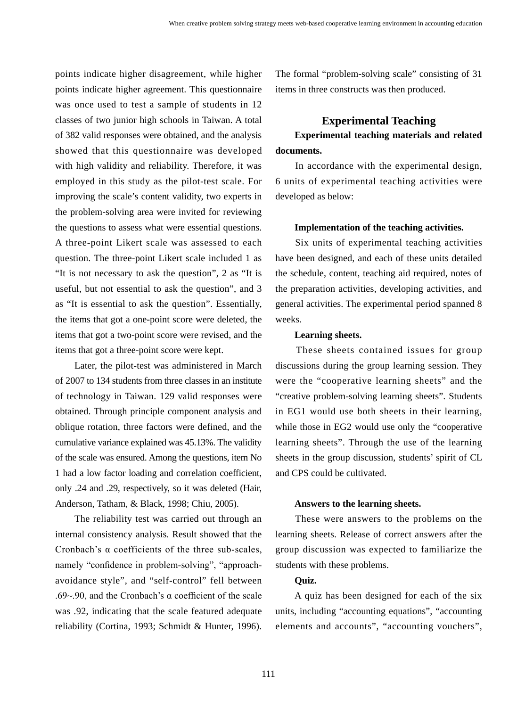points indicate higher disagreement, while higher points indicate higher agreement. This questionnaire was once used to test a sample of students in 12 classes of two junior high schools in Taiwan. A total of 382 valid responses were obtained, and the analysis showed that this questionnaire was developed with high validity and reliability. Therefore, it was employed in this study as the pilot-test scale. For improving the scale's content validity, two experts in the problem-solving area were invited for reviewing the questions to assess what were essential questions. A three-point Likert scale was assessed to each question. The three-point Likert scale included 1 as "It is not necessary to ask the question", 2 as "It is useful, but not essential to ask the question", and 3 as "It is essential to ask the question". Essentially, the items that got a one-point score were deleted, the items that got a two-point score were revised, and the items that got a three-point score were kept.

 Later, the pilot-test was administered in March of 2007 to 134 students from three classes in an institute of technology in Taiwan. 129 valid responses were obtained. Through principle component analysis and oblique rotation, three factors were defined, and the cumulative variance explained was 45.13%. The validity of the scale was ensured. Among the questions, item No 1 had a low factor loading and correlation coefficient, only .24 and .29, respectively, so it was deleted (Hair, Anderson, Tatham, & Black, 1998; Chiu, 2005).

 The reliability test was carried out through an internal consistency analysis. Result showed that the Cronbach's α coefficients of the three sub-scales, namely "confidence in problem-solving", "approachavoidance style", and "self-control" fell between .69~.90, and the Cronbach's  $\alpha$  coefficient of the scale was .92, indicating that the scale featured adequate reliability (Cortina, 1993; Schmidt & Hunter, 1996). The formal "problem-solving scale" consisting of 31 items in three constructs was then produced.

## **Experimental Teaching**

## **Experimental teaching materials and related documents.**

 In accordance with the experimental design, 6 units of experimental teaching activities were developed as below:

#### **Implementation of the teaching activities.**

 Six units of experimental teaching activities have been designed, and each of these units detailed the schedule, content, teaching aid required, notes of the preparation activities, developing activities, and general activities. The experimental period spanned 8 weeks.

### **Learning sheets.**

 These sheets contained issues for group discussions during the group learning session. They were the "cooperative learning sheets" and the "creative problem-solving learning sheets". Students in EG1 would use both sheets in their learning, while those in EG2 would use only the "cooperative learning sheets". Through the use of the learning sheets in the group discussion, students' spirit of CL and CPS could be cultivated.

#### **Answers to the learning sheets.**

 These were answers to the problems on the learning sheets. Release of correct answers after the group discussion was expected to familiarize the students with these problems.

### **Quiz.**

 A quiz has been designed for each of the six units, including "accounting equations", "accounting elements and accounts", "accounting vouchers",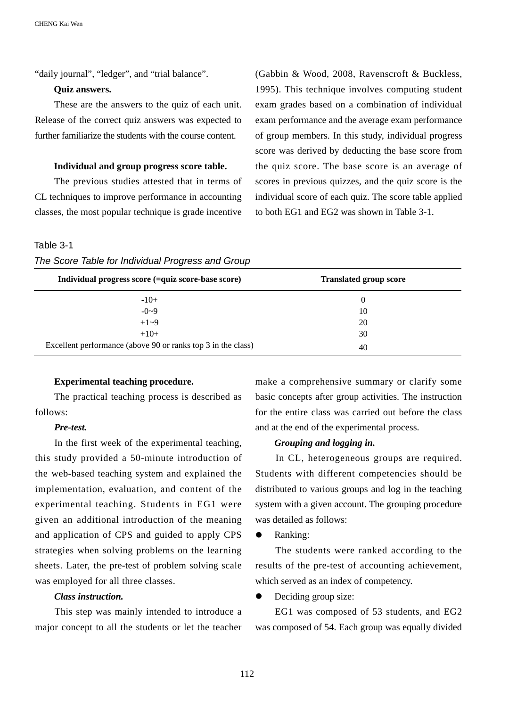"daily journal", "ledger", and "trial balance".

### **Quiz answers.**

 These are the answers to the quiz of each unit. Release of the correct quiz answers was expected to further familiarize the students with the course content.

#### **Individual and group progress score table.**

 The previous studies attested that in terms of CL techniques to improve performance in accounting classes, the most popular technique is grade incentive

# (Gabbin & Wood, 2008, Ravenscroft & Buckless, 1995). This technique involves computing student exam grades based on a combination of individual exam performance and the average exam performance of group members. In this study, individual progress score was derived by deducting the base score from the quiz score. The base score is an average of scores in previous quizzes, and the quiz score is the individual score of each quiz. The score table applied to both EG1 and EG2 was shown in Table 3-1.

#### Table 3-1

| Individual progress score (=quiz score-base score)           | <b>Translated group score</b> |  |
|--------------------------------------------------------------|-------------------------------|--|
| $-10+$                                                       | $\theta$                      |  |
| $-0-9$                                                       | 10                            |  |
| $+1 - 9$                                                     | 20                            |  |
| $+10+$                                                       | 30                            |  |
| Excellent performance (above 90 or ranks top 3 in the class) | 40                            |  |

#### **Experimental teaching procedure.**

The practical teaching process is described as follows:

### *Pre-test.*

In the first week of the experimental teaching, this study provided a 50-minute introduction of the web-based teaching system and explained the implementation, evaluation, and content of the experimental teaching. Students in EG1 were given an additional introduction of the meaning and application of CPS and guided to apply CPS strategies when solving problems on the learning sheets. Later, the pre-test of problem solving scale was employed for all three classes.

#### *Class instruction.*

This step was mainly intended to introduce a major concept to all the students or let the teacher make a comprehensive summary or clarify some basic concepts after group activities. The instruction for the entire class was carried out before the class and at the end of the experimental process.

#### *Grouping and logging in.*

In CL, heterogeneous groups are required. Students with different competencies should be distributed to various groups and log in the teaching system with a given account. The grouping procedure was detailed as follows:

**•** Ranking:

The students were ranked according to the results of the pre-test of accounting achievement, which served as an index of competency.

Deciding group size:

EG1 was composed of 53 students, and EG2 was composed of 54. Each group was equally divided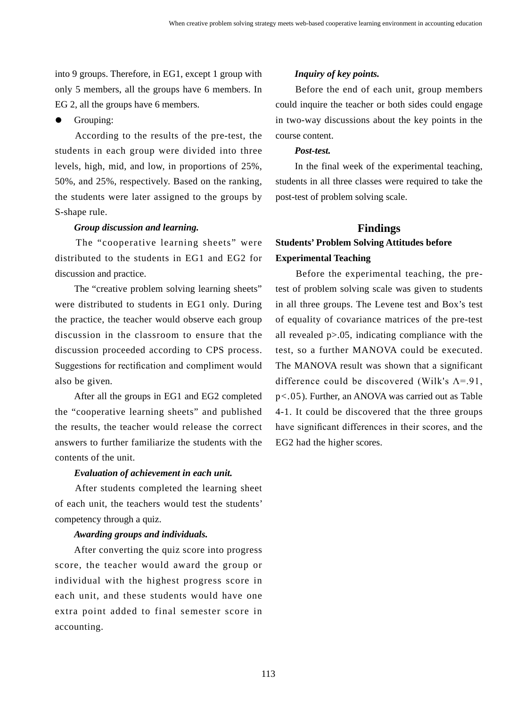into 9 groups. Therefore, in EG1, except 1 group with only 5 members, all the groups have 6 members. In EG 2, all the groups have 6 members.

**•** Grouping:

According to the results of the pre-test, the students in each group were divided into three levels, high, mid, and low, in proportions of 25%, 50%, and 25%, respectively. Based on the ranking, the students were later assigned to the groups by S-shape rule.

### *Group discussion and learning.*

The "cooperative learning sheets" were distributed to the students in EG1 and EG2 for discussion and practice.

The "creative problem solving learning sheets" were distributed to students in EG1 only. During the practice, the teacher would observe each group discussion in the classroom to ensure that the discussion proceeded according to CPS process. Suggestions for rectification and compliment would also be given.

After all the groups in EG1 and EG2 completed the "cooperative learning sheets" and published the results, the teacher would release the correct answers to further familiarize the students with the contents of the unit.

## *Evaluation of achievement in each unit.*

After students completed the learning sheet of each unit, the teachers would test the students' competency through a quiz.

#### *Awarding groups and individuals.*

After converting the quiz score into progress score, the teacher would award the group or individual with the highest progress score in each unit, and these students would have one extra point added to final semester score in accounting.

## *Inquiry of key points.*

Before the end of each unit, group members could inquire the teacher or both sides could engage in two-way discussions about the key points in the course content.

## *Post-test.*

In the final week of the experimental teaching, students in all three classes were required to take the post-test of problem solving scale.

## **Findings Students' Problem Solving Attitudes before Experimental Teaching**

Before the experimental teaching, the pretest of problem solving scale was given to students in all three groups. The Levene test and Box's test of equality of covariance matrices of the pre-test all revealed p>.05, indicating compliance with the test, so a further MANOVA could be executed. The MANOVA result was shown that a significant difference could be discovered (Wilk's  $\Lambda$ =.91, p<.05). Further, an ANOVA was carried out as Table 4-1. It could be discovered that the three groups have significant differences in their scores, and the EG2 had the higher scores.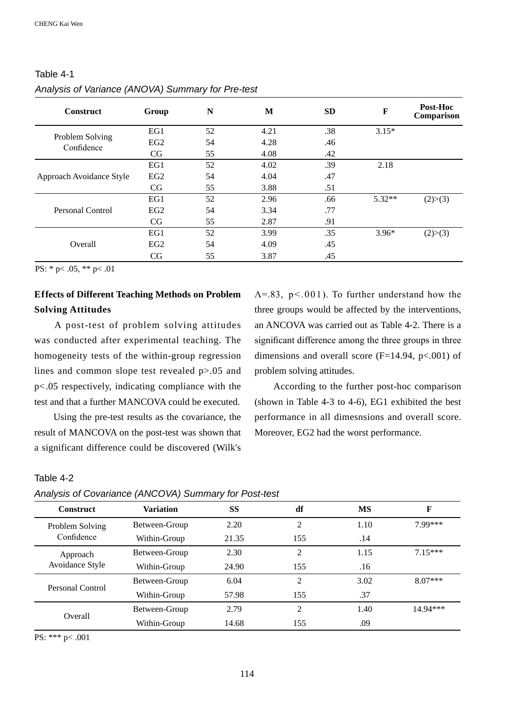#### **Construct Group N <sup>M</sup> SD <sup>F</sup> Post-Hoc Comparison**  Problem Solving Confidence EG1  $52$   $4.21$   $.38$   $3.15*$ EG2  $54$   $4.28$   $46$  $CG$  55 4.08 .42 Approach Avoidance Style EG1 52 4.02 .39 2.18 EG2 54 4.04 .47  $CG$  55 3.88 .51 Personal Control EG1 52 2.96 .66 5.32<sup>\*\*</sup> (2)>(3) EG2 54 3.34 .77  $CG$  55 2.87 .91 Overall EG1 52 3.99 .35 3.96\*  $(2) > (3)$ EG2 54 4.09 .45 CG 55 3.87 .45

## Table 4-1 *Analysis of Variance (ANOVA) Summary for Pre-test*

PS: \* p< .05, \*\* p< .01

## **Effects of Different Teaching Methods on Problem Solving Attitudes**

 A post-test of problem solving attitudes was conducted after experimental teaching. The homogeneity tests of the within-group regression lines and common slope test revealed p>.05 and p<.05 respectively, indicating compliance with the test and that a further MANCOVA could be executed.

 Using the pre-test results as the covariance, the result of MANCOVA on the post-test was shown that a significant difference could be discovered (Wilk's

# Table 4-2

#### *Analysis of Covariance (ANCOVA) Summary for Post-test*

| <b>Construct</b>              | <b>Variation</b> | SS    | df             | MS   | F         |
|-------------------------------|------------------|-------|----------------|------|-----------|
| Problem Solving<br>Confidence | Between-Group    | 2.20  | 2              | 1.10 | 7 99***   |
|                               | Within-Group     | 21.35 | 155            | .14  |           |
| Approach                      | Between-Group    | 2.30  | 2              | 1.15 | $7.15***$ |
| Avoidance Style               | Within-Group     | 24.90 | 155            | .16  |           |
| Personal Control              | Between-Group    | 6.04  | 2              | 3.02 | $8.07***$ |
|                               | Within-Group     | 57.98 | 155            | .37  |           |
| Overall                       | Between-Group    | 2.79  | $\overline{c}$ | 1.40 | 14.94***  |
|                               | Within-Group     | 14.68 | 155            | .09  |           |

PS: \*\*\* p< .001

 $\Lambda$ =.83, p < 0.01). To further understand how the three groups would be affected by the interventions, an ANCOVA was carried out as Table 4-2. There is a significant difference among the three groups in three dimensions and overall score  $(F=14.94, p<.001)$  of problem solving attitudes.

 According to the further post-hoc comparison (shown in Table 4-3 to 4-6), EG1 exhibited the best performance in all dimesnsions and overall score. Moreover, EG2 had the worst performance.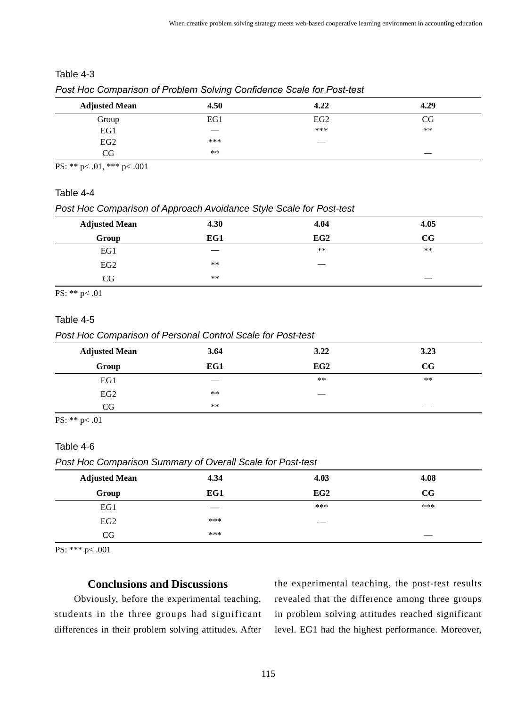## Table 4-3

| <b>Adjusted Mean</b> | 4.50 | 4.22            | 4.29  |
|----------------------|------|-----------------|-------|
| Group                | EG1  | EG <sub>2</sub> | CG    |
| EG1                  |      | ***             | $***$ |
| EG <sub>2</sub>      | ***  |                 |       |
| CG                   | **   |                 |       |

*Post Hoc Comparison of Problem Solving Confidence Scale for Post-test* 

PS: \*\* p< .01, \*\*\* p< .001

## Table 4-4

*Post Hoc Comparison of Approach Avoidance Style Scale for Post-test* 

| <b>Adjusted Mean</b> | 4.30 | 4.04  | 4.05        |
|----------------------|------|-------|-------------|
| Group                | EG1  | EG2   | $_{\rm CG}$ |
| EG1                  |      | $***$ | $***$       |
| EG <sub>2</sub>      | **   |       |             |
| CG                   | **   |       |             |

PS: \*\* p< .01

## Table 4-5

*Post Hoc Comparison of Personal Control Scale for Post-test* 

| <b>Adjusted Mean</b> | 3.64  | 3.22  | 3.23  |
|----------------------|-------|-------|-------|
| Group                | EG1   | EG2   | CG    |
| EG1                  |       | $***$ | $***$ |
| EG2                  | $***$ |       |       |
| CG                   | $***$ |       | ___   |
|                      |       |       |       |

PS: \*\* p< .01

## Table 4-6

*Post Hoc Comparison Summary of Overall Scale for Post-test*

| <b>Adjusted Mean</b> | 4.34 | 4.03 | 4.08        |
|----------------------|------|------|-------------|
| Group                | EG1  | EG2  | $_{\rm CG}$ |
| EG1                  |      | ***  | ***         |
| EG2                  | ***  |      |             |
| CG                   | ***  |      |             |

PS: \*\*\* p< .001

## **Conclusions and Discussions**

 Obviously, before the experimental teaching, students in the three groups had significant differences in their problem solving attitudes. After

the experimental teaching, the post-test results revealed that the difference among three groups in problem solving attitudes reached significant level. EG1 had the highest performance. Moreover,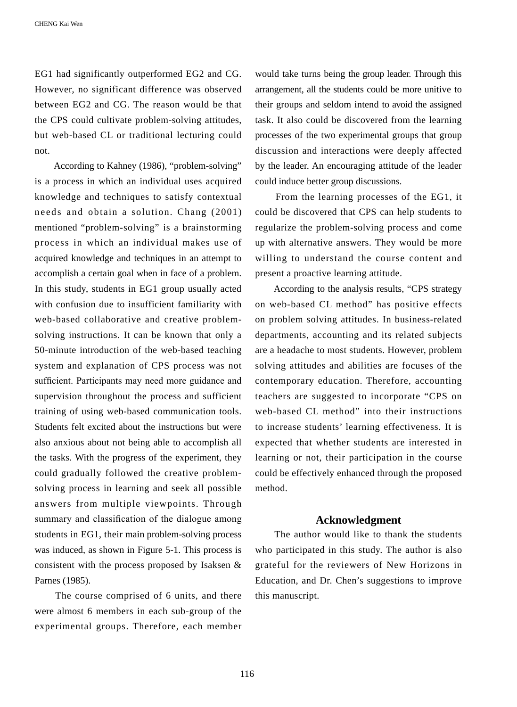EG1 had significantly outperformed EG2 and CG. However, no significant difference was observed between EG2 and CG. The reason would be that the CPS could cultivate problem-solving attitudes, but web-based CL or traditional lecturing could not.

 According to Kahney (1986), "problem-solving" is a process in which an individual uses acquired knowledge and techniques to satisfy contextual needs and obtain a solution. Chang (2001) mentioned "problem-solving" is a brainstorming process in which an individual makes use of acquired knowledge and techniques in an attempt to accomplish a certain goal when in face of a problem. In this study, students in EG1 group usually acted with confusion due to insufficient familiarity with web-based collaborative and creative problemsolving instructions. It can be known that only a 50-minute introduction of the web-based teaching system and explanation of CPS process was not sufficient. Participants may need more guidance and supervision throughout the process and sufficient training of using web-based communication tools. Students felt excited about the instructions but were also anxious about not being able to accomplish all the tasks. With the progress of the experiment, they could gradually followed the creative problemsolving process in learning and seek all possible answers from multiple viewpoints. Through summary and classification of the dialogue among students in EG1, their main problem-solving process was induced, as shown in Figure 5-1. This process is consistent with the process proposed by Isaksen & Parnes (1985).

 The course comprised of 6 units, and there were almost 6 members in each sub-group of the experimental groups. Therefore, each member would take turns being the group leader. Through this arrangement, all the students could be more unitive to their groups and seldom intend to avoid the assigned task. It also could be discovered from the learning processes of the two experimental groups that group discussion and interactions were deeply affected by the leader. An encouraging attitude of the leader could induce better group discussions.

 From the learning processes of the EG1, it could be discovered that CPS can help students to regularize the problem-solving process and come up with alternative answers. They would be more willing to understand the course content and present a proactive learning attitude.

 According to the analysis results, "CPS strategy on web-based CL method" has positive effects on problem solving attitudes. In business-related departments, accounting and its related subjects are a headache to most students. However, problem solving attitudes and abilities are focuses of the contemporary education. Therefore, accounting teachers are suggested to incorporate "CPS on web-based CL method" into their instructions to increase students' learning effectiveness. It is expected that whether students are interested in learning or not, their participation in the course could be effectively enhanced through the proposed method.

### **Acknowledgment**

 The author would like to thank the students who participated in this study. The author is also grateful for the reviewers of New Horizons in Education, and Dr. Chen's suggestions to improve this manuscript.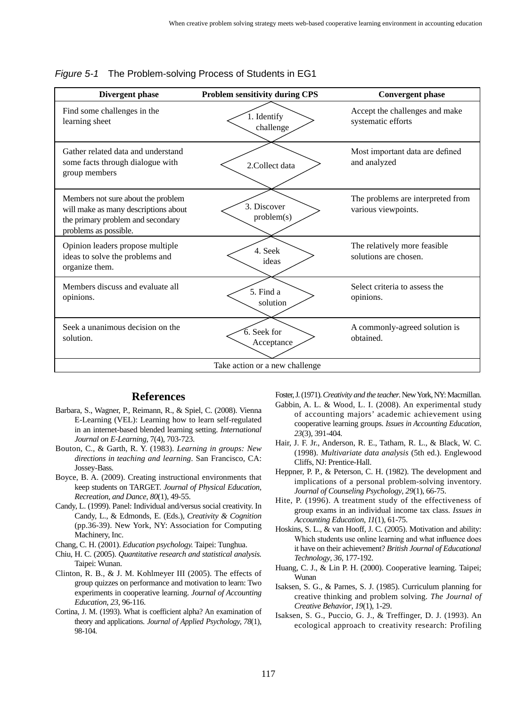| Divergent phase                                                                                                                          | <b>Problem sensitivity during CPS</b> | <b>Convergent phase</b>                                  |  |
|------------------------------------------------------------------------------------------------------------------------------------------|---------------------------------------|----------------------------------------------------------|--|
| Find some challenges in the<br>learning sheet                                                                                            | 1. Identify<br>challenge              | Accept the challenges and make<br>systematic efforts     |  |
| Gather related data and understand<br>some facts through dialogue with<br>group members                                                  | 2. Collect data                       | Most important data are defined<br>and analyzed          |  |
| Members not sure about the problem<br>will make as many descriptions about<br>the primary problem and secondary<br>problems as possible. | 3. Discover<br>problem(s)             | The problems are interpreted from<br>various viewpoints. |  |
| Opinion leaders propose multiple<br>ideas to solve the problems and<br>organize them.                                                    | 4. Seek<br>ideas                      | The relatively more feasible<br>solutions are chosen.    |  |
| Members discuss and evaluate all<br>opinions.                                                                                            | 5. Find a<br>solution                 | Select criteria to assess the<br>opinions.               |  |
| Seek a unanimous decision on the<br>solution.                                                                                            | 6. Seek for<br>Acceptance             | A commonly-agreed solution is<br>obtained.               |  |
| Take action or a new challenge                                                                                                           |                                       |                                                          |  |

*Figure 5-1* The Problem-solving Process of Students in EG1

## **References**

- Barbara, S., Wagner, P., Reimann, R., & Spiel, C. (2008). Vienna E-Learning (VEL): Learning how to learn self-regulated in an internet-based blended learning setting. *International Journal on E-Learning,* 7(4), 703-723.
- Bouton, C., & Garth, R. Y. (1983). *Learning in groups: New directions in teaching and learning*. San Francisco, CA: Jossey-Bass.
- Boyce, B. A. (2009). Creating instructional environments that keep students on TARGET. *Journal of Physical Education, Recreation, and Dance, 80*(1), 49-55.
- Candy, L. (1999). Panel: Individual and/versus social creativity. In Candy, L., & Edmonds, E. (Eds.), *Creativity & Cognition* (pp.36-39). New York, NY: Association for Computing Machinery, Inc.

Chang, C. H. (2001). *Education psychology.* Taipei: Tunghua.

- Chiu, H. C. (2005). *Quantitative research and statistical analysis.*  Taipei: Wunan.
- Clinton, R. B., & J. M. Kohlmeyer III (2005). The effects of group quizzes on performance and motivation to learn: Two experiments in cooperative learning. *Journal of Accounting Education*, *23*, 96-116.
- Cortina, J. M. (1993). What is coefficient alpha? An examination of theory and applications. *Journal of Applied Psychology*, *78*(1), 98-104.
- Foster, J. (1971). *Creativity and the teacher*. New York, NY: Macmillan. Gabbin, A. L. & Wood, L. I. (2008). An experimental study of accounting majors' academic achievement using cooperative learning groups. *Issues in Accounting Education, 23*(3), 391-404.
- Hair, J. F. Jr., Anderson, R. E., Tatham, R. L., & Black, W. C. (1998). *Multivariate data analysis* (5th ed.). Englewood Cliffs, NJ: Prentice-Hall.
- Heppner, P. P., & Peterson, C. H. (1982). The development and implications of a personal problem-solving inventory. *Journal of Counseling Psychology*, *29*(1), 66-75.
- Hite, P. (1996). A treatment study of the effectiveness of group exams in an individual income tax class. *Issues in Accounting Education*, *11*(1), 61-75.
- Hoskins, S. L., & van Hooff, J. C. (2005). Motivation and ability: Which students use online learning and what influence does it have on their achievement? *British Journal of Educational Technology*, *36*, 177-192.
- Huang, C. J., & Lin P. H. (2000). Cooperative learning. Taipei; Wunan
- Isaksen, S. G., & Parnes, S. J. (1985). Curriculum planning for creative thinking and problem solving. *The Journal of Creative Behavior*, *19*(1), 1-29.
- Isaksen, S. G., Puccio, G. J., & Treffinger, D. J. (1993). An ecological approach to creativity research: Profiling